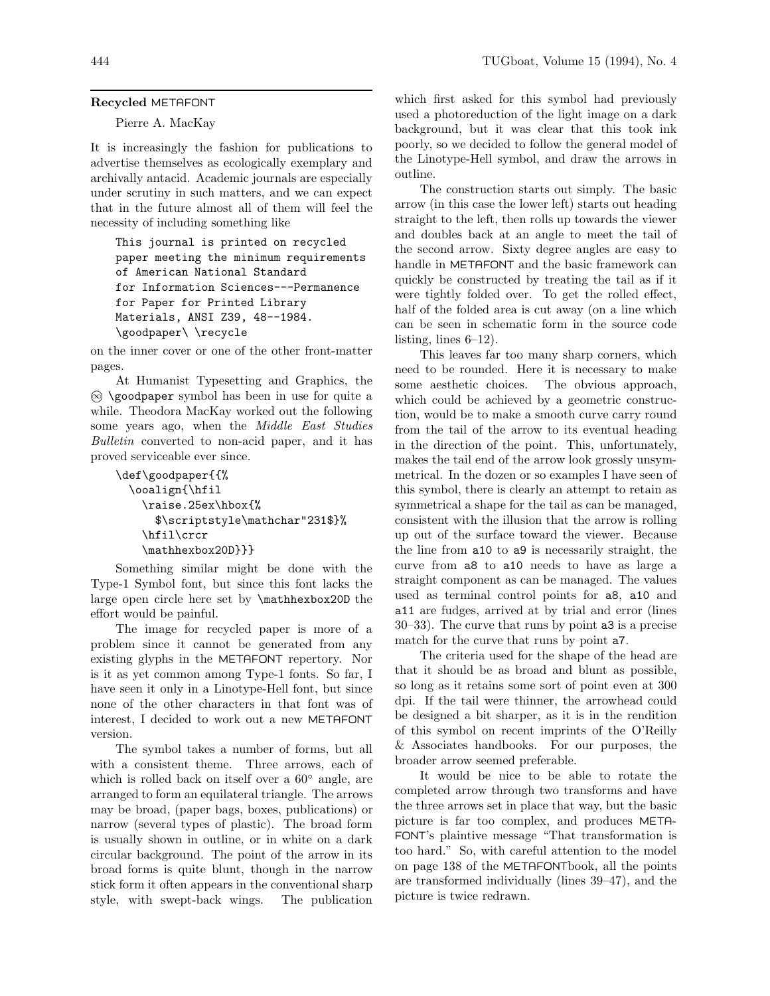## **Recycled** METAFONT

## Pierre A. MacKay

It is increasingly the fashion for publications to advertise themselves as ecologically exemplary and archivally antacid. Academic journals are especially under scrutiny in such matters, and we can expect that in the future almost all of them will feel the necessity of including something like

This journal is printed on recycled paper meeting the minimum requirements of American National Standard for Information Sciences---Permanence for Paper for Printed Library Materials, ANSI Z39, 48--1984. \goodpaper\ \recycle

on the inner cover or one of the other front-matter pages.

At Humanist Typesetting and Graphics, the <sup>∞</sup> \goodpaper symbol has been in use for quite a while. Theodora MacKay worked out the following some years ago, when the Middle East Studies Bulletin converted to non-acid paper, and it has proved serviceable ever since.

```
\def\goodpaper{{%
  \ooalign{\hfil
    \raise.25ex\hbox{%
      $\scriptstyle\mathchar"231$}%
    \hfil\crcr
    \mathhexbox20D}}}
```
Something similar might be done with the Type-1 Symbol font, but since this font lacks the large open circle here set by \mathhexbox20D the effort would be painful.

The image for recycled paper is more of a problem since it cannot be generated from any existing glyphs in the METAFONT repertory. Nor is it as yet common among Type-1 fonts. So far, I have seen it only in a Linotype-Hell font, but since none of the other characters in that font was of interest, I decided to work out a new METAFONT version.

The symbol takes a number of forms, but all with a consistent theme. Three arrows, each of which is rolled back on itself over a 60◦ angle, are arranged to form an equilateral triangle. The arrows may be broad, (paper bags, boxes, publications) or narrow (several types of plastic). The broad form is usually shown in outline, or in white on a dark circular background. The point of the arrow in its broad forms is quite blunt, though in the narrow stick form it often appears in the conventional sharp style, with swept-back wings. The publication

which first asked for this symbol had previously used a photoreduction of the light image on a dark background, but it was clear that this took ink poorly, so we decided to follow the general model of the Linotype-Hell symbol, and draw the arrows in outline.

The construction starts out simply. The basic arrow (in this case the lower left) starts out heading straight to the left, then rolls up towards the viewer and doubles back at an angle to meet the tail of the second arrow. Sixty degree angles are easy to handle in METAFONT and the basic framework can quickly be constructed by treating the tail as if it were tightly folded over. To get the rolled effect, half of the folded area is cut away (on a line which can be seen in schematic form in the source code listing, lines 6–12).

This leaves far too many sharp corners, which need to be rounded. Here it is necessary to make some aesthetic choices. The obvious approach, which could be achieved by a geometric construction, would be to make a smooth curve carry round from the tail of the arrow to its eventual heading in the direction of the point. This, unfortunately, makes the tail end of the arrow look grossly unsymmetrical. In the dozen or so examples I have seen of this symbol, there is clearly an attempt to retain as symmetrical a shape for the tail as can be managed, consistent with the illusion that the arrow is rolling up out of the surface toward the viewer. Because the line from a10 to a9 is necessarily straight, the curve from a8 to a10 needs to have as large a straight component as can be managed. The values used as terminal control points for a8, a10 and a11 are fudges, arrived at by trial and error (lines 30–33). The curve that runs by point a3 is a precise match for the curve that runs by point **a7**.

The criteria used for the shape of the head are that it should be as broad and blunt as possible, so long as it retains some sort of point even at 300 dpi. If the tail were thinner, the arrowhead could be designed a bit sharper, as it is in the rendition of this symbol on recent imprints of the O'Reilly & Associates handbooks. For our purposes, the broader arrow seemed preferable.

It would be nice to be able to rotate the completed arrow through two transforms and have the three arrows set in place that way, but the basic picture is far too complex, and produces META-FONT's plaintive message "That transformation is too hard." So, with careful attention to the model on page 138 of the METAFONTbook, all the points are transformed individually (lines 39–47), and the picture is twice redrawn.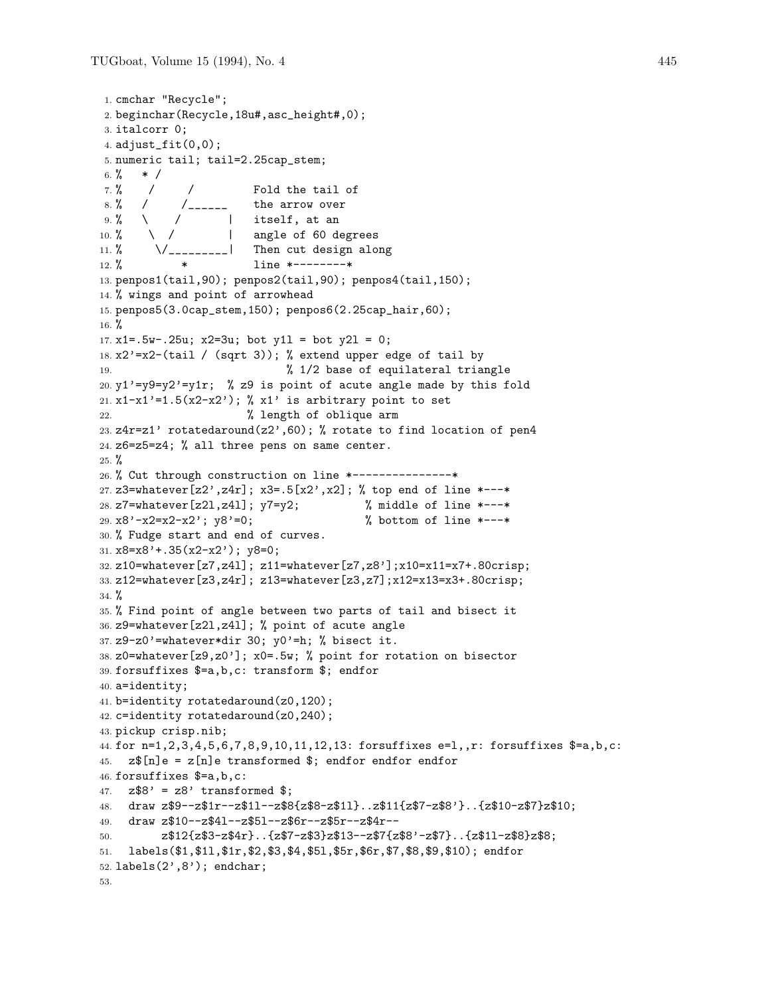```
1. cmchar "Recycle";
2. beginchar(Recycle,18u#,asc_height#,0);
3. italcorr 0;
4. adjust_fit(0,0);
5. numeric tail; tail=2.25cap_stem;
6. % * /
7. % / / Fold the tail of
8. % / / / / / / - - - the arrow over
9. % / / | itself, at an
10. % \ / | angle of 60 degrees
11. % \bigvee ________| Then cut design along
12. % * line *--------*
13. penpos1(tail,90); penpos2(tail,90); penpos4(tail,150);
14. % wings and point of arrowhead
15. penpos5(3.0cap_stem,150); penpos6(2.25cap_hair,60);
16. %
17. x1 = .5w - .25u; x2 = 3u; bot y11 = bot y21 = 0;
18. x2'=x2-(tail / (sqrt 3)); % extend upper edge of tail by
19. % 1/2 base of equilateral triangle
20. y1'=y9=y2'=y1r; % z9 is point of acute angle made by this fold
21. x1-x1'=1.5(x2-x2'); % x1' is arbitrary point to set
22. % length of oblique arm
23. z4r=z1' rotatedaround(z2',60); % rotate to find location of pen4
24. z6=z5=z4; % all three pens on same center.
25. \%26. % Cut through construction on line *---------------*
27. z3=whatever[z2',z4r]; x3=.5[x2',x2]; % top end of line *---*
28. z7=whatever[z2l,z4l]; y7=y2; % middle of line *---*
29. x8'-x2=x2-x2'; y8'=0; % bottom of line *---*
30. % Fudge start and end of curves.
31. x8=x8' + .35(x2-x2'); y8=0;
32. z10=whatever[z7,z4l]; z11=whatever[z7,z8'];x10=x11=x7+.80crisp;
33. z12=whatever[z3,z4r]; z13=whatever[z3,z7];x12=x13=x3+.80crisp;
34. %
35. % Find point of angle between two parts of tail and bisect it
36. z9=whatever[z2l,z4l]; % point of acute angle
37. z9-z0'=whatever*dir 30; v0'=h; % bisect it.
38. z0=whatever[z9,z0']; x0=.5w; % point for rotation on bisector
39. forsuffixes $=a,b,c: transform $; endfor
40. a=identity;
41. b=identity rotatedaround(z0,120);
42. c=identity rotatedaround(z0,240);
43. pickup crisp.nib;
44. for n=1,2,3,4,5,6,7,8,9,10,11,12,13: forsuffixes e=l,,r: forsuffixes $=a,b,c:
45. z\[n]e = z[n]e transformed $; endfor endfor endfor
46. forsuffixes $=a,b,c:
47. z$8' = z8' transformed $;
48. draw z$9--z$1r--z$1l--z$8{z$8-z$1l}..z$11{z$7-z$8'}..{z$10-z$7}z$10;
49. draw z$10--z$4l--z$5l--z$6r--z$5r--z$4r--
50. z$12{z$3-z$4r}..{z$7-z$3}z$13--z$7{z$8'-z$7}..{z$1l-z$8}z$8;
51. labels($1,$1l,$1r,$2,$3,$4,$5l,$5r,$6r,$7,$8,$9,$10); endfor
52. labels(2',8'); endchar;
53.
```